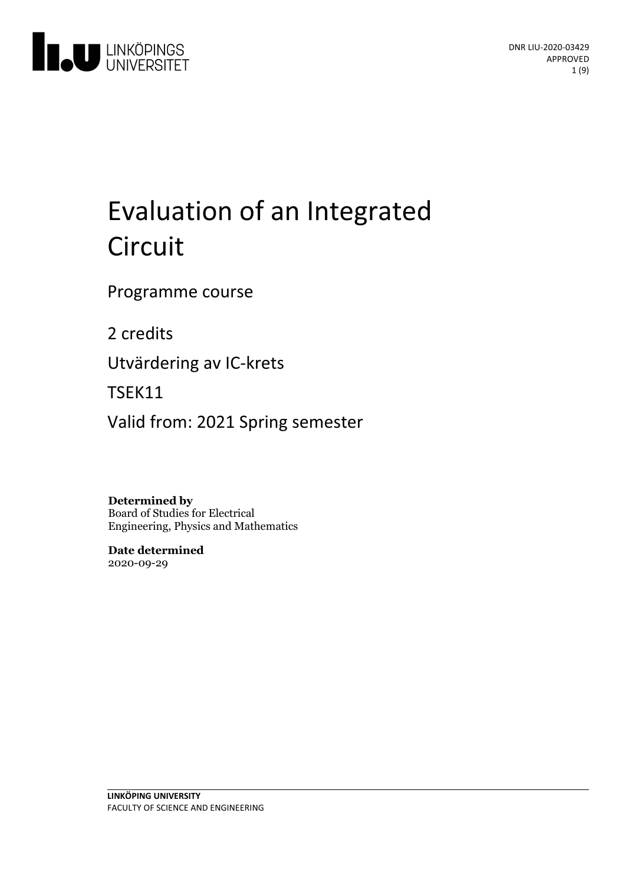

# Evaluation of an Integrated Circuit

Programme course

2 credits

Utvärderingav IC-krets

TSEK11

Valid from: 2021 Spring semester

**Determined by** Board of Studies for Electrical Engineering, Physics and Mathematics

**Date determined** 2020-09-29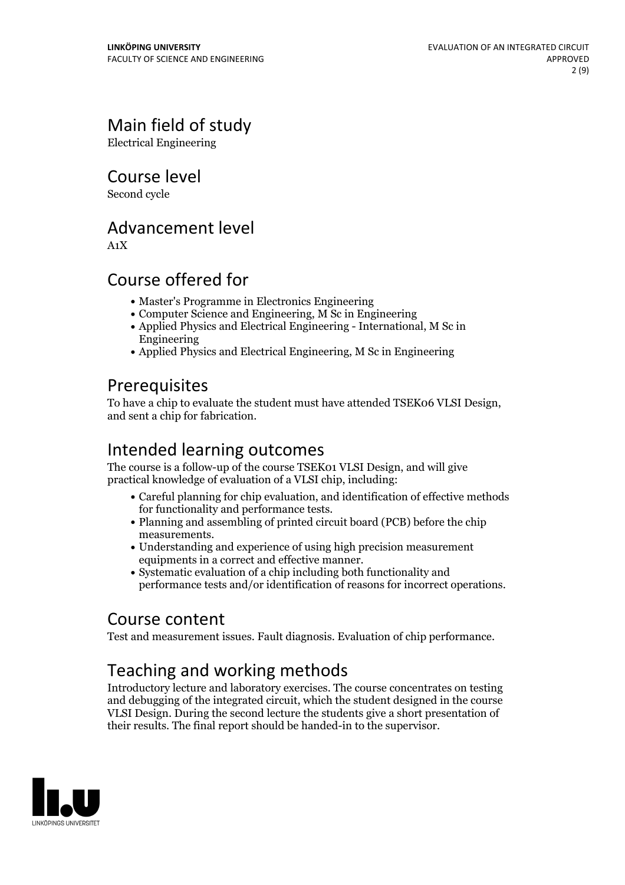# Main field of study

Electrical Engineering

Course level

Second cycle

### Advancement level

A1X

### Course offered for

- Master's Programme in Electronics Engineering
- Computer Science and Engineering, M Sc in Engineering
- Applied Physics and Electrical Engineering International, M Sc in Engineering
- Applied Physics and Electrical Engineering, M Sc in Engineering

### **Prerequisites**

To have <sup>a</sup> chip to evaluate the student must have attended TSEK06 VLSI Design, and sent <sup>a</sup> chip for fabrication.

# Intended learning outcomes

The course is a follow-up of the course TSEK01 VLSI Design, and will give practical knowledge of evaluation of a VLSI chip, including:

- Careful planning for chip evaluation, and identification of effective methods
- for functionality and performance tests.<br>• Planning and assembling of printed circuit board (PCB) before the chip measurements.<br>• Understanding and experience of using high precision measurement
- equipments in a correct and effective manner.
- Systematic evaluation of a chip including both functionality and performance tests and/or identification of reasons for incorrect operations.

### Course content

Test and measurement issues. Fault diagnosis. Evaluation of chip performance.

# Teaching and working methods

Introductory lecture and laboratory exercises. The course concentrates on testing and debugging of the integrated circuit, which the student designed in the course VLSI Design. During the second lecture the students give a short presentation of their results. The final report should be handed-in to the supervisor.

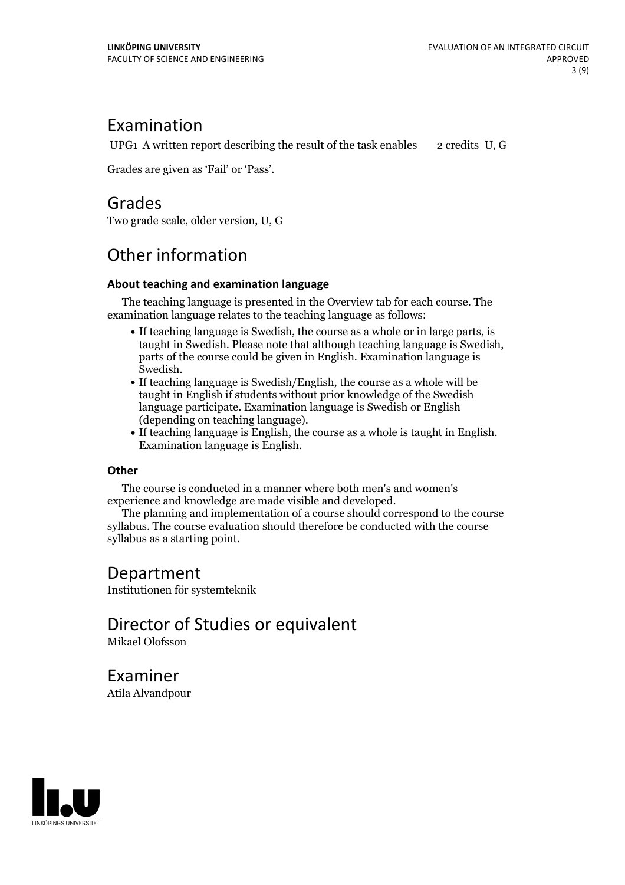### Examination

UPG1 A written report describing the result of the task enables  $\overline{2}$  credits U, G

Grades are given as'Fail' or 'Pass'.

### Grades

Two grade scale, older version, U, G

# Other information

#### **About teaching and examination language**

The teaching language is presented in the Overview tab for each course. The examination language relates to the teaching language as follows:

- If teaching language is Swedish, the course as a whole or in large parts, is taught in Swedish. Please note that although teaching language is Swedish, parts of the course could be given in English. Examination language is
- Swedish.<br>• If teaching language is Swedish/English, the course as a whole will be taught in English if students without prior knowledge of the Swedish language participate. Examination language is Swedish or English
- $\bullet$  If teaching language is English, the course as a whole is taught in English. Examination language is English.

#### **Other**

The course is conducted in a manner where both men's and women's

The planning and implementation of a course should correspond to the course syllabus. The course evaluation should therefore be conducted with the course syllabus as a starting point.

### Department

Institutionen för systemteknik

# Director of Studies or equivalent

Mikael Olofsson

Examiner Atila Alvandpour

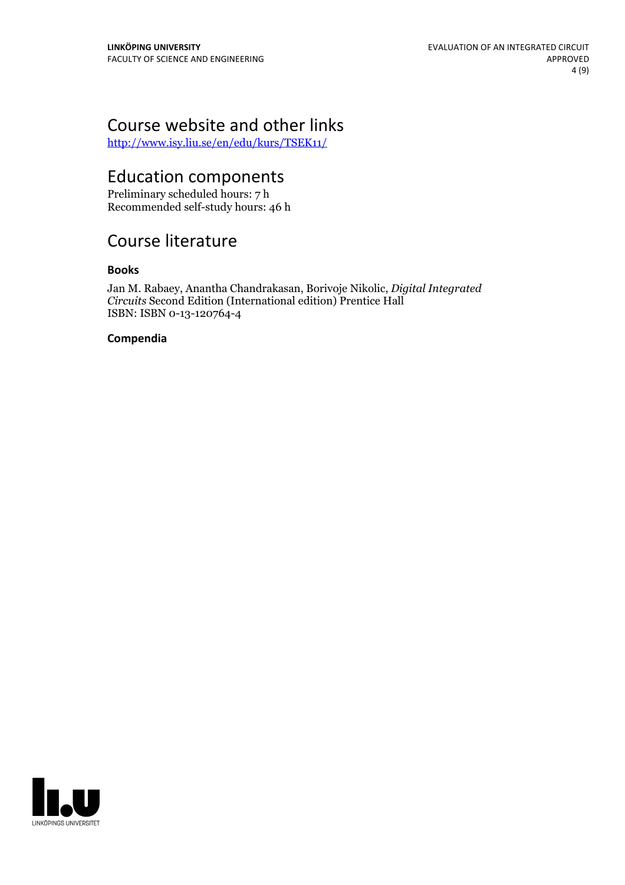# Course website and other links

<http://www.isy.liu.se/en/edu/kurs/TSEK11/>

# Education components

Preliminary scheduled hours: 7 h Recommended self-study hours: 46 h

# Course literature

#### **Books**

Jan M. Rabaey, Anantha Chandrakasan, Borivoje Nikolic, *Digital Integrated Circuits* Second Edition (International edition) Prentice Hall ISBN: ISBN 0-13-120764-4

#### **Compendia**

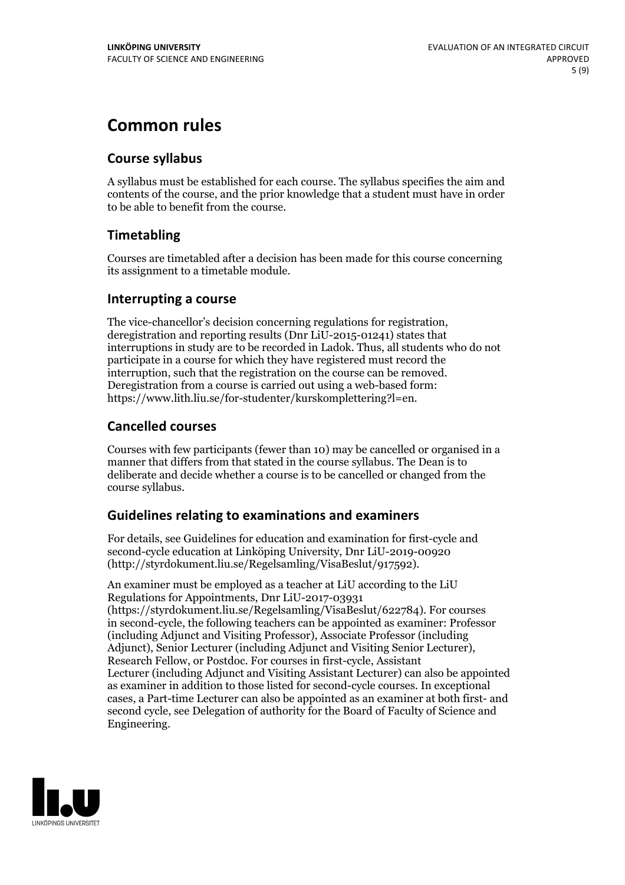## **Common rules**

### **Course syllabus**

A syllabus must be established for each course. The syllabus specifies the aim and contents of the course, and the prior knowledge that a student must have in order to be able to benefit from the course.

### **Timetabling**

Courses are timetabled after a decision has been made for this course concerning its assignment to a timetable module.

#### **Interrupting a course**

The vice-chancellor's decision concerning regulations for registration, deregistration and reporting results (Dnr LiU-2015-01241) states that interruptions in study are to be recorded in Ladok. Thus, all students who do not participate in a course for which they have registered must record the interruption, such that the registration on the course can be removed. Deregistration from <sup>a</sup> course is carried outusing <sup>a</sup> web-based form: https://www.lith.liu.se/for-studenter/kurskomplettering?l=en.

### **Cancelled courses**

Courses with few participants (fewer than 10) may be cancelled or organised in a manner that differs from that stated in the course syllabus. The Dean is to deliberate and decide whether a course is to be cancelled or changed from the course syllabus.

### **Guidelines relatingto examinations and examiners**

For details, see Guidelines for education and examination for first-cycle and second-cycle education at Linköping University, Dnr LiU-2019-00920 (http://styrdokument.liu.se/Regelsamling/VisaBeslut/917592).

An examiner must be employed as a teacher at LiU according to the LiU Regulations for Appointments, Dnr LiU-2017-03931 (https://styrdokument.liu.se/Regelsamling/VisaBeslut/622784). For courses in second-cycle, the following teachers can be appointed as examiner: Professor (including Adjunct and Visiting Professor), Associate Professor (including Adjunct), Senior Lecturer (including Adjunct and Visiting Senior Lecturer), Research Fellow, or Postdoc. For courses in first-cycle, Assistant Lecturer (including Adjunct and Visiting Assistant Lecturer) can also be appointed as examiner in addition to those listed for second-cycle courses. In exceptional cases, a Part-time Lecturer can also be appointed as an examiner at both first- and second cycle, see Delegation of authority for the Board of Faculty of Science and Engineering.

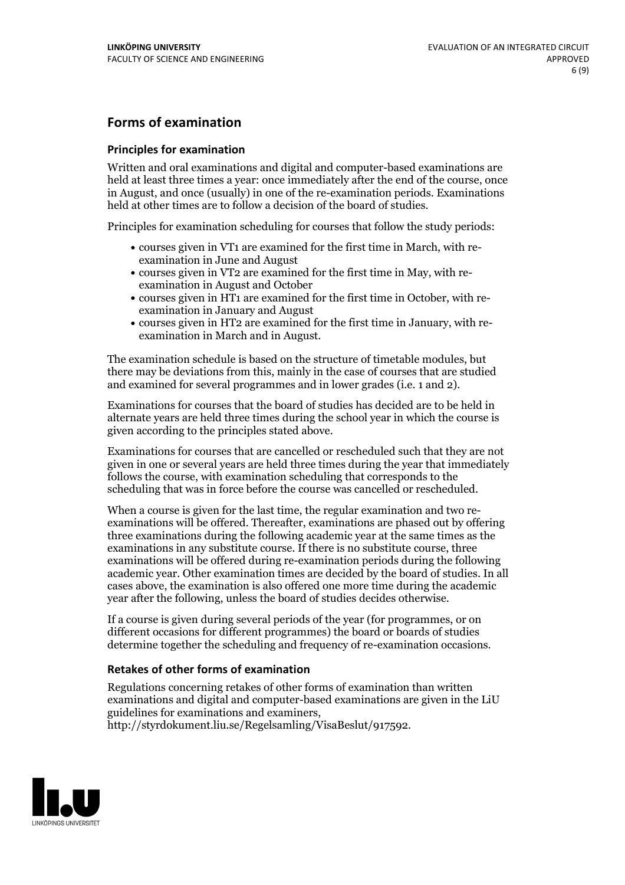### **Forms of examination**

#### **Principles for examination**

Written and oral examinations and digital and computer-based examinations are held at least three times a year: once immediately after the end of the course, once in August, and once (usually) in one of the re-examination periods. Examinations held at other times are to follow a decision of the board of studies.

Principles for examination scheduling for courses that follow the study periods:

- courses given in VT1 are examined for the first time in March, with re-examination in June and August
- courses given in VT2 are examined for the first time in May, with re-examination in August and October
- courses given in HT1 are examined for the first time in October, with re-examination in January and August
- courses given in HT2 are examined for the first time in January, with re-examination in March and in August.

The examination schedule is based on the structure of timetable modules, but there may be deviations from this, mainly in the case of courses that are studied and examined for several programmes and in lower grades (i.e. 1 and 2).

Examinations for courses that the board of studies has decided are to be held in alternate years are held three times during the school year in which the course is given according to the principles stated above.

Examinations for courses that are cancelled orrescheduled such that they are not given in one or several years are held three times during the year that immediately follows the course, with examination scheduling that corresponds to the scheduling that was in force before the course was cancelled or rescheduled.

When a course is given for the last time, the regular examination and two re-<br>examinations will be offered. Thereafter, examinations are phased out by offering three examinations during the following academic year at the same times as the examinations in any substitute course. If there is no substitute course, three examinations will be offered during re-examination periods during the following academic year. Other examination times are decided by the board of studies. In all cases above, the examination is also offered one more time during the academic year after the following, unless the board of studies decides otherwise.

If a course is given during several periods of the year (for programmes, or on different occasions for different programmes) the board or boards of studies determine together the scheduling and frequency of re-examination occasions.

#### **Retakes of other forms of examination**

Regulations concerning retakes of other forms of examination than written examinations and digital and computer-based examinations are given in the LiU guidelines for examinations and examiners, http://styrdokument.liu.se/Regelsamling/VisaBeslut/917592.

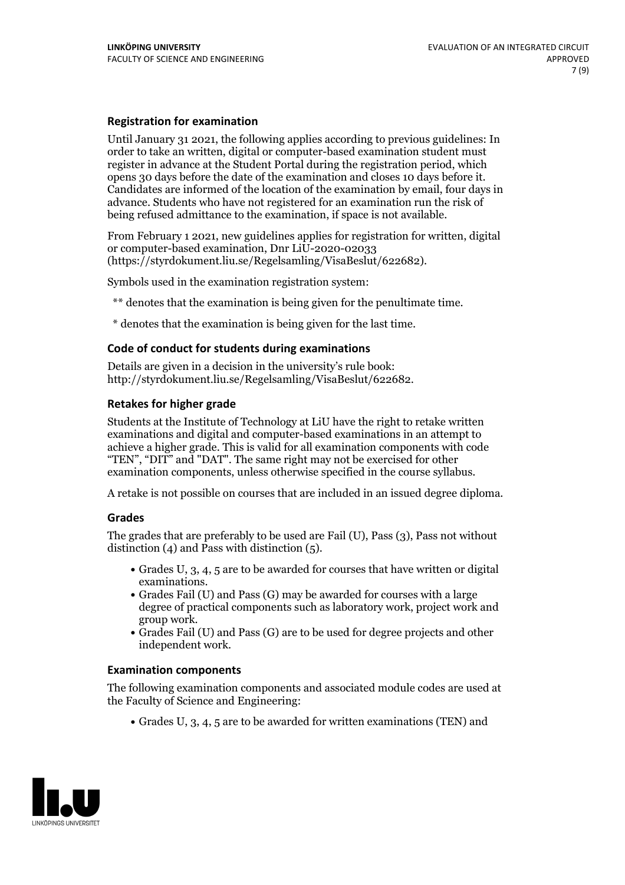#### **Registration for examination**

Until January 31 2021, the following applies according to previous guidelines: In order to take an written, digital or computer-based examination student must register in advance at the Student Portal during the registration period, which Candidates are informed of the location of the examination by email, four days in advance. Students who have not registered for an examination run the risk of being refused admittance to the examination, if space is not available.

From February 1 2021, new guidelines applies for registration for written, digital or computer-based examination, Dnr LiU-2020-02033 (https://styrdokument.liu.se/Regelsamling/VisaBeslut/622682).

Symbols used in the examination registration system:

\*\* denotes that the examination is being given for the penultimate time.

\* denotes that the examination is being given for the last time.

#### **Code of conduct for students during examinations**

Details are given in a decision in the university's rule book: http://styrdokument.liu.se/Regelsamling/VisaBeslut/622682.

#### **Retakes for higher grade**

Students at the Institute of Technology at LiU have the right to retake written examinations and digital and computer-based examinations in an attempt to achieve a higher grade. This is valid for all examination components with code "TEN", "DIT" and "DAT". The same right may not be exercised for other examination components, unless otherwise specified in the course syllabus.

A retake is not possible on courses that are included in an issued degree diploma.

#### **Grades**

The grades that are preferably to be used are Fail (U), Pass (3), Pass not without distinction  $(4)$  and Pass with distinction  $(5)$ .

- Grades U, 3, 4, 5 are to be awarded for courses that have written or digital
- examinations.<br>• Grades Fail (U) and Pass (G) may be awarded for courses with a large degree of practical components such as laboratory work, project work and
- $\bullet$  Grades Fail (U) and Pass (G) are to be used for degree projects and other independent work.

#### **Examination components**

The following examination components and associated module codes are used at the Faculty of Science and Engineering:

Grades U, 3, 4, 5 are to be awarded for written examinations (TEN) and

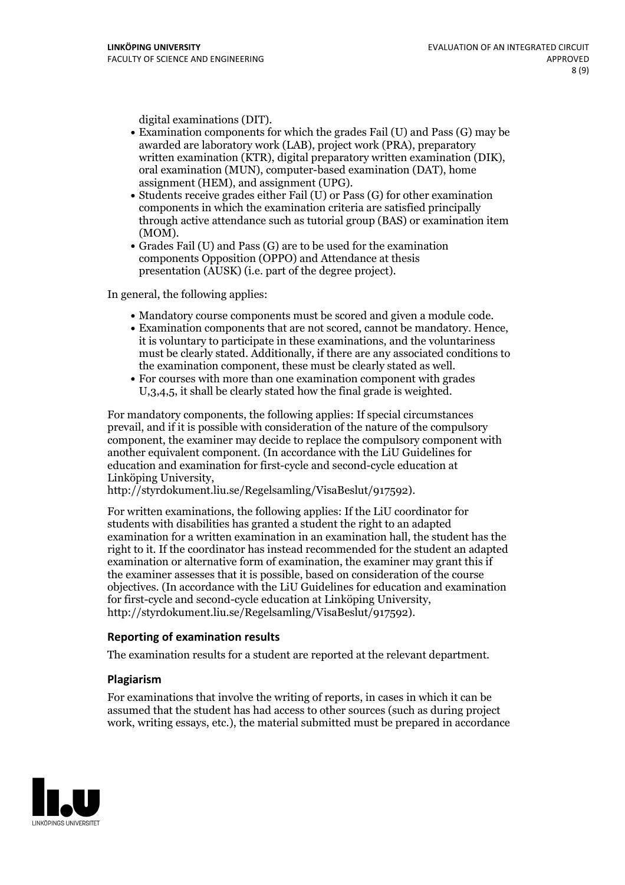- digital examinations (DIT).<br>• Examination components for which the grades Fail (U) and Pass (G) may be awarded are laboratory work (LAB), project work (PRA), preparatory written examination (KTR), digital preparatory written examination (DIK), oral examination (MUN), computer-based examination (DAT), home
- assignment (HEM), and assignment (UPG).<br>• Students receive grades either Fail (U) or Pass (G) for other examination components in which the examination criteria are satisfied principally through active attendance such as tutorial group (BAS) or examination item
- (MOM).<br>• Grades Fail (U) and Pass (G) are to be used for the examination components Opposition (OPPO) and Attendance at thesis presentation (AUSK) (i.e. part of the degree project).

In general, the following applies:

- 
- Mandatory course components must be scored and given <sup>a</sup> module code. Examination components that are not scored, cannot be mandatory. Hence, it is voluntary to participate in these examinations, and the voluntariness must be clearly stated. Additionally, if there are any associated conditions to the examination component, these must be clearly stated as well.<br>• For courses with more than one examination component with grades
- U,3,4,5, it shall be clearly stated how the final grade is weighted.

For mandatory components, the following applies: If special circumstances prevail, and if it is possible with consideration of the nature ofthe compulsory component, the examiner may decide to replace the compulsory component with another equivalent component. (In accordance with the LiU Guidelines for education and examination for first-cycle and second-cycle education at Linköping University, http://styrdokument.liu.se/Regelsamling/VisaBeslut/917592).

For written examinations, the following applies: If the LiU coordinator for students with disabilities has granted a student the right to an adapted examination for a written examination in an examination hall, the student has the right to it. If the coordinator has instead recommended for the student an adapted examination or alternative form of examination, the examiner may grant this if the examiner assesses that it is possible, based on consideration of the course objectives. (In accordance with the LiU Guidelines for education and examination for first-cycle and second-cycle education at Linköping University, http://styrdokument.liu.se/Regelsamling/VisaBeslut/917592).

#### **Reporting of examination results**

The examination results for a student are reported at the relevant department.

#### **Plagiarism**

For examinations that involve the writing of reports, in cases in which it can be assumed that the student has had access to other sources (such as during project work, writing essays, etc.), the material submitted must be prepared in accordance